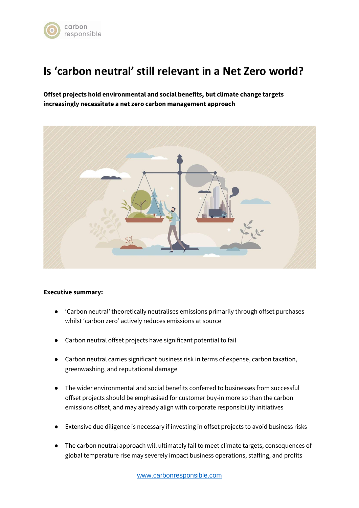

# **Is 'carbon neutral' still relevant in a Net Zero world?**

**Offset projects hold environmental and social benefits, but climate change targets increasingly necessitate a net zero carbon management approach** 



# **Executive summary:**

- 'Carbon neutral' theoretically neutralises emissions primarily through offset purchases whilst 'carbon zero' actively reduces emissions at source
- Carbon neutral offset projects have significant potential to fail
- Carbon neutral carries significant business risk in terms of expense, carbon taxation, greenwashing, and reputational damage
- The wider environmental and social benefits conferred to businesses from successful offset projects should be emphasised for customer buy-in more so than the carbon emissions offset, and may already align with corporate responsibility initiatives
- Extensive due diligence is necessary if investing in offset projects to avoid business risks
- The carbon neutral approach will ultimately fail to meet climate targets; consequences of global temperature rise may severely impact business operations, staffing, and profits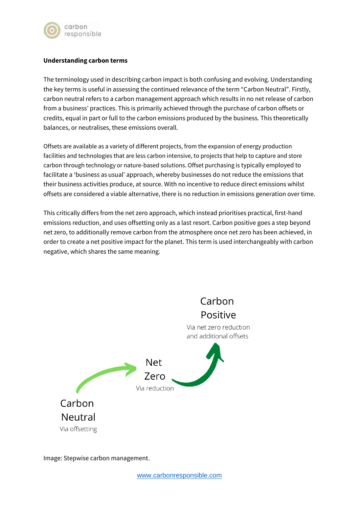

# **Understanding carbon terms**

The terminology used in describing carbon impact is both confusing and evolving. Understanding the key terms is useful in assessing the continued relevance of the term "Carbon Neutral". Firstly, carbon neutral refers to a carbon management approach which results in no net release of carbon from a business' practices. This is primarily achieved through the purchase of carbon offsets or credits, equal in part or full to the carbon emissions produced by the business. This theoretically balances, or neutralises, these emissions overall.

Offsets are available as a variety of different projects, from the expansion of energy production facilities and technologies that are less carbon intensive, to projects that help to capture and store carbon through technology or nature-based solutions. Offset purchasing is typically employed to facilitate a 'business as usual' approach, whereby businesses do not reduce the emissions that their business activities produce, at source. With no incentive to reduce direct emissions whilst offsets are considered a viable alternative, there is no reduction in emissions generation over time.

This critically differs from the net zero approach, which instead prioritises practical, first-hand emissions reduction, and uses offsetting only as a last resort. Carbon positive goes a step beyond net zero, to additionally remove carbon from the atmosphere once net zero has been achieved, in order to create a net positive impact for the planet. This term is used interchangeably with carbon negative, which shares the same meaning.



Image: Stepwise carbon management.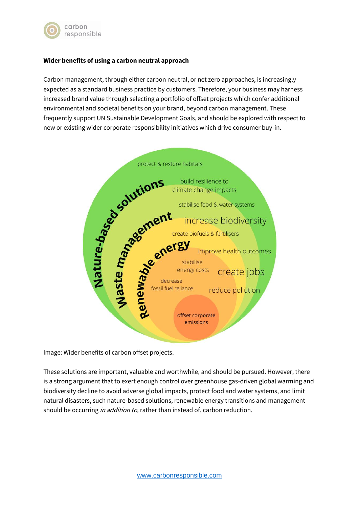

# **Wider benefits of using a carbon neutral approach**

Carbon management, through either carbon neutral, or net zero approaches, is increasingly expected as a standard business practice by customers. Therefore, your business may harness increased brand value through selecting a portfolio of offset projects which confer additional environmental and societal benefits on your brand, beyond carbon management. These frequently support UN Sustainable Development Goals, and should be explored with respect to new or existing wider corporate responsibility initiatives which drive consumer buy-in.



Image: Wider benefits of carbon offset projects.

These solutions are important, valuable and worthwhile, and should be pursued. However, there is a strong argument that to exert enough control over greenhouse gas-driven global warming and biodiversity decline to avoid adverse global impacts, protect food and water systems, and limit natural disasters, such nature-based solutions, renewable energy transitions and management should be occurring in addition to, rather than instead of, carbon reduction.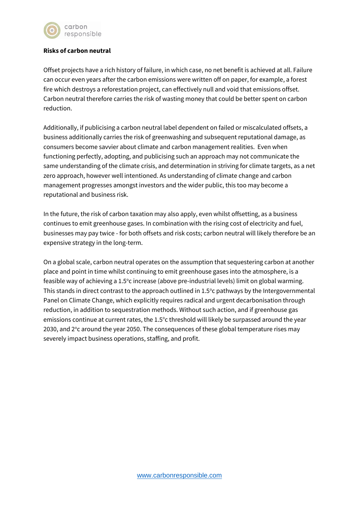

### **Risks of carbon neutral**

Offset projects have a rich history of failure, in which case, no net benefit is achieved at all. Failure can occur even years after the carbon emissions were written off on paper, for example, a forest fire which destroys a reforestation project, can effectively null and void that emissions offset. Carbon neutral therefore carries the risk of wasting money that could be better spent on carbon reduction.

Additionally, if publicising a carbon neutral label dependent on failed or miscalculated offsets, a business additionally carries the risk of greenwashing and subsequent reputational damage, as consumers become savvier about climate and carbon management realities. Even when functioning perfectly, adopting, and publicising such an approach may not communicate the same understanding of the climate crisis, and determination in striving for climate targets, as a net zero approach, however well intentioned. As understanding of climate change and carbon management progresses amongst investors and the wider public, this too may become a reputational and business risk.

In the future, the risk of carbon taxation may also apply, even whilst offsetting, as a business continues to emit greenhouse gases. In combination with the rising cost of electricity and fuel, businesses may pay twice - for both offsets and risk costs; carbon neutral will likely therefore be an expensive strategy in the long-term.

On a global scale, carbon neutral operates on the assumption that sequestering carbon at another place and point in time whilst continuing to emit greenhouse gases into the atmosphere, is a feasible way of achieving a 1.5°c increase (above pre-industrial levels) limit on global warming. This stands in direct contrast to the approach outlined in  $1.5^{\circ}$ c pathways by the Intergovernmental Panel on Climate Change, which explicitly requires radical and urgent decarbonisation through reduction, in addition to sequestration methods. Without such action, and if greenhouse gas emissions continue at current rates, the 1.5°c threshold will likely be surpassed around the year 2030, and 2°c around the year 2050. The consequences of these global temperature rises may severely impact business operations, staffing, and profit.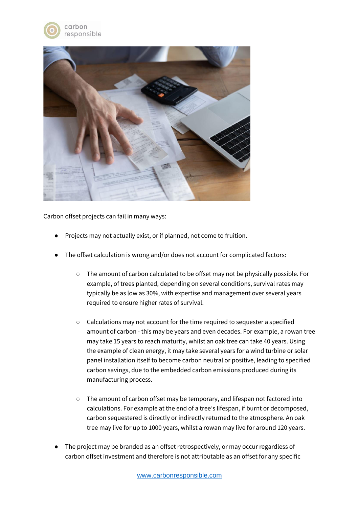



Carbon offset projects can fail in many ways:

- Projects may not actually exist, or if planned, not come to fruition.
- The offset calculation is wrong and/or does not account for complicated factors:
	- The amount of carbon calculated to be offset may not be physically possible. For example, of trees planted, depending on several conditions, survival rates may typically be as low as 30%, with expertise and management over several years required to ensure higher rates of survival.
	- Calculations may not account for the time required to sequester a specified amount of carbon - this may be years and even decades. For example, a rowan tree may take 15 years to reach maturity, whilst an oak tree can take 40 years. Using the example of clean energy, it may take several years for a wind turbine or solar panel installation itself to become carbon neutral or positive, leading to specified carbon savings, due to the embedded carbon emissions produced during its manufacturing process.
	- The amount of carbon offset may be temporary, and lifespan not factored into calculations. For example at the end of a tree's lifespan, if burnt or decomposed, carbon sequestered is directly or indirectly returned to the atmosphere. An oak tree may live for up to 1000 years, whilst a rowan may live for around 120 years.
- The project may be branded as an offset retrospectively, or may occur regardless of carbon offset investment and therefore is not attributable as an offset for any specific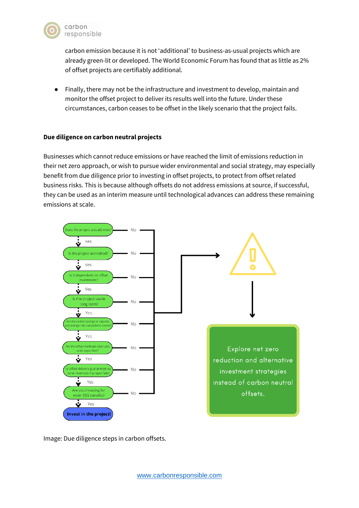

carbon emission because it is not 'additional' to business-as-usual projects which are already green-lit or developed. The World Economic Forum has found that as little as 2% of offset projects are certifiably additional.

● Finally, there may not be the infrastructure and investment to develop, maintain and monitor the offset project to deliver its results well into the future. Under these circumstances, carbon ceases to be offset in the likely scenario that the project fails.

# **Due diligence on carbon neutral projects**

Businesses which cannot reduce emissions or have reached the limit of emissions reduction in their net zero approach, or wish to pursue wider environmental and social strategy, may especially benefit from due diligence prior to investing in offset projects, to protect from offset related business risks. This is because although offsets do not address emissions at source, if successful, they can be used as an interim measure until technological advances can address these remaining emissions at scale.



Image: Due diligence steps in carbon offsets.